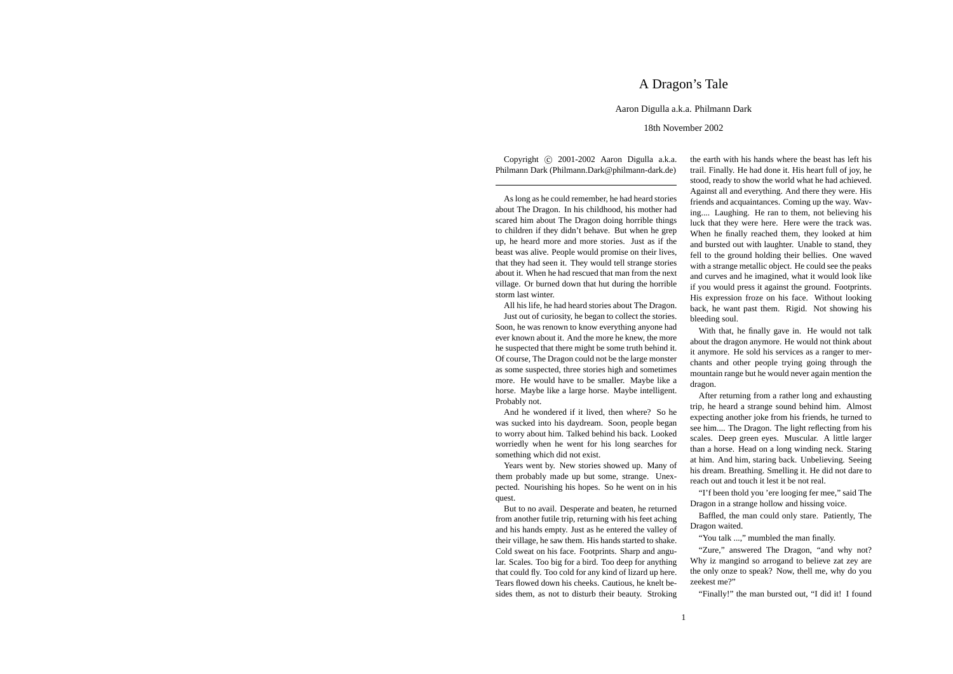## A Dragon's Tale

## Aaron Digulla a.k.a. Philmann Dark

## 18th November 2002

Copyright (c) 2001-2002 Aaron Digulla a.k.a. Philmann Dark (Philmann.Dark@philmann-dark.de)

As long as he could remember, he had heard stories about The Dragon. In his childhood, his mother had scared him about The Dragon doing horrible things to children if they didn't behave. But when he grep up, he heard more and more stories. Just as if the beast was alive. People would promise on their lives, that they had seen it. They would tell strange stories about it. When he had rescued that man from the next village. Or burned down that hut during the horrible storm last winter.

All his life, he had heard stories about The Dragon.

Just out of curiosity, he began to collect the stories. Soon, he was renown to know everything anyone had ever known about it. And the more he knew, the more he suspected that there might be some truth behind it. Of course, The Dragon could not be the large monster as some suspected, three stories high and sometimes more. He would have to be smaller. Maybe like a horse. Maybe like a large horse. Maybe intelligent. Probably not.

And he wondered if it lived, then where? So he was sucked into his daydream. Soon, people began to worry about him. Talked behind his back. Looked worriedly when he went for his long searches for something which did not exist.

Years went by. New stories showed up. Many of them probably made up but some, strange. Unexpected. Nourishing his hopes. So he went on in his quest.

But to no avail. Desperate and beaten, he returned from another futile trip, returning with his feet aching and his hands empty. Just as he entered the valley of their village, he saw them. His hands started to shake. Cold sweat on his face. Footprints. Sharp and angular. Scales. Too big for a bird. Too deep for anything that could fly. Too cold for any kind of lizard up here. Tears flowed down his cheeks. Cautious, he knelt besides them, as not to disturb their beauty. Stroking

the earth with his hands where the beast has left his trail. Finally. He had done it. His heart full of joy, he stood, ready to show the world what he had achieved. Against all and everything. And there they were. His friends and acquaintances. Coming up the way. Waving.... Laughing. He ran to them, not believing his luck that they were here. Here were the track was. When he finally reached them, they looked at him and bursted out with laughter. Unable to stand, they fell to the ground holding their bellies. One waved with a strange metallic object. He could see the peaks and curves and he imagined, what it would look like if you would press it against the ground. Footprints. His expression froze on his face. Without looking back, he want past them. Rigid. Not showing his bleeding soul.

With that, he finally gave in. He would not talk about the dragon anymore. He would not think about it anymore. He sold his services as a ranger to merchants and other people trying going through the mountain range but he would never again mention the dragon.

After returning from a rather long and exhausting trip, he heard a strange sound behind him. Almost expecting another joke from his friends, he turned to see him.... The Dragon. The light reflecting from his scales. Deep green eyes. Muscular. A little larger than a horse. Head on a long winding neck. Staring at him. And him, staring back. Unbelieving. Seeing his dream. Breathing. Smelling it. He did not dare to reach out and touch it lest it be not real.

"I'f been thold you 'ere looging fer mee," said The Dragon in a strange hollow and hissing voice.

Baffled, the man could only stare. Patiently, The Dragon waited.

"You talk ...," mumbled the man finally.

"Zure," answered The Dragon, "and why not? Why iz mangind so arrogand to believe zat zey are the only onze to speak? Now, thell me, why do you zeekest me?"

"Finally!" the man bursted out, "I did it! I found